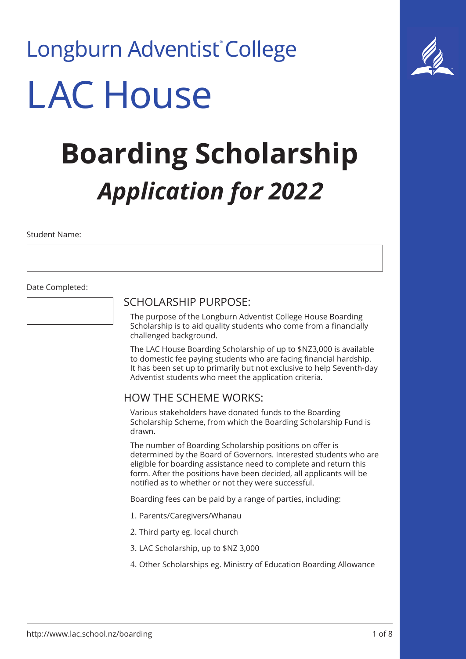# **Boarding Scholarship** *Application for 202***2** Longburn Adventist College LAC House

Student Name:

#### Date Completed:

#### SCHOLARSHIP PURPOSE:

The purpose of the Longburn Adventist College House Boarding Scholarship is to aid quality students who come from a financially challenged background.

The LAC House Boarding Scholarship of up to \$NZ3,000 is available to domestic fee paying students who are facing financial hardship. It has been set up to primarily but not exclusive to help Seventh-day Adventist students who meet the application criteria.

#### HOW THE SCHEME WORKS:

Various stakeholders have donated funds to the Boarding Scholarship Scheme, from which the Boarding Scholarship Fund is drawn.

The number of Boarding Scholarship positions on offer is determined by the Board of Governors. Interested students who are eligible for boarding assistance need to complete and return this form. After the positions have been decided, all applicants will be notified as to whether or not they were successful.

Boarding fees can be paid by a range of parties, including:

- 1. Parents/Caregivers/Whanau
- 2. Third party eg. local church
- 3. LAC Scholarship, up to \$NZ 3,000
- 4. Other Scholarships eg. Ministry of Education Boarding Allowance

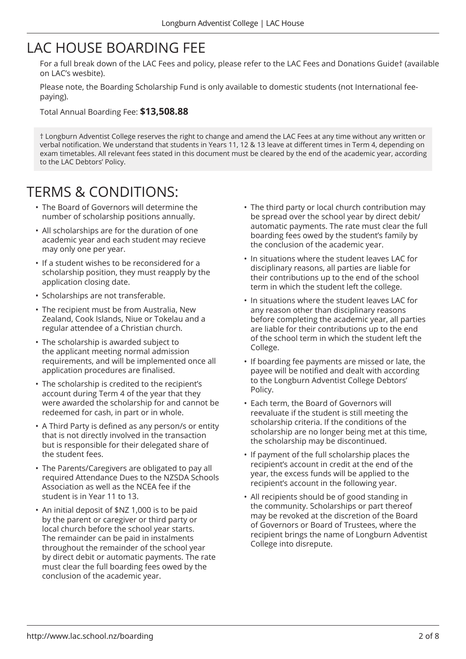# LAC HOUSE BOARDING FEE

For a full break down of the LAC Fees and policy, please refer to the LAC Fees and Donations Guide† (available on LAC's wesbite).

Please note, the Boarding Scholarship Fund is only available to domestic students (not International feepaying).

Total Annual Boarding Fee: **\$13,508.88**

† Longburn Adventist College reserves the right to change and amend the LAC Fees at any time without any written or verbal notification. We understand that students in Years 11, 12 & 13 leave at different times in Term 4, depending on exam timetables. All relevant fees stated in this document must be cleared by the end of the academic year, according to the LAC Debtors' Policy.

# TERMS & CONDITIONS:

- The Board of Governors will determine the number of scholarship positions annually.
- All scholarships are for the duration of one academic year and each student may recieve may only one per year.
- If a student wishes to be reconsidered for a scholarship position, they must reapply by the application closing date.
- Scholarships are not transferable.
- The recipient must be from Australia, New Zealand, Cook Islands, Niue or Tokelau and a regular attendee of a Christian church.
- The scholarship is awarded subject to the applicant meeting normal admission requirements, and will be implemented once all application procedures are finalised.
- The scholarship is credited to the recipient's account during Term 4 of the year that they were awarded the scholarship for and cannot be redeemed for cash, in part or in whole.
- A Third Party is defined as any person/s or entity that is not directly involved in the transaction but is responsible for their delegated share of the student fees.
- The Parents/Caregivers are obligated to pay all required Attendance Dues to the NZSDA Schools Association as well as the NCEA fee if the student is in Year 11 to 13.
- An initial deposit of \$NZ 1,000 is to be paid by the parent or caregiver or third party or local church before the school year starts. The remainder can be paid in instalments throughout the remainder of the school year by direct debit or automatic payments. The rate must clear the full boarding fees owed by the conclusion of the academic year.
- The third party or local church contribution may be spread over the school year by direct debit/ automatic payments. The rate must clear the full boarding fees owed by the student's family by the conclusion of the academic year.
- In situations where the student leaves LAC for disciplinary reasons, all parties are liable for their contributions up to the end of the school term in which the student left the college.
- In situations where the student leaves LAC for any reason other than disciplinary reasons before completing the academic year, all parties are liable for their contributions up to the end of the school term in which the student left the College.
- If boarding fee payments are missed or late, the payee will be notified and dealt with according to the Longburn Adventist College Debtors' Policy.
- Each term, the Board of Governors will reevaluate if the student is still meeting the scholarship criteria. If the conditions of the scholarship are no longer being met at this time, the scholarship may be discontinued.
- If payment of the full scholarship places the recipient's account in credit at the end of the year, the excess funds will be applied to the recipient's account in the following year.
- All recipients should be of good standing in the community. Scholarships or part thereof may be revoked at the discretion of the Board of Governors or Board of Trustees, where the recipient brings the name of Longburn Adventist College into disrepute.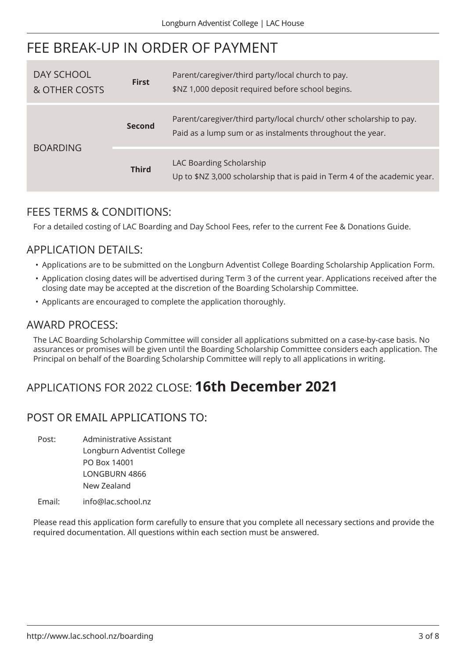# FEE BREAK-UP IN ORDER OF PAYMENT

| DAY SCHOOL<br>& OTHER COSTS | <b>First</b>  | Parent/caregiver/third party/local church to pay.<br>\$NZ 1,000 deposit required before school begins.                            |
|-----------------------------|---------------|-----------------------------------------------------------------------------------------------------------------------------------|
| <b>BOARDING</b>             | <b>Second</b> | Parent/caregiver/third party/local church/ other scholarship to pay.<br>Paid as a lump sum or as instalments throughout the year. |
|                             | <b>Third</b>  | LAC Boarding Scholarship<br>Up to \$NZ 3,000 scholarship that is paid in Term 4 of the academic year.                             |

#### FEES TERMS & CONDITIONS:

For a detailed costing of LAC Boarding and Day School Fees, refer to the current Fee & Donations Guide.

### APPLICATION DETAILS:

- Applications are to be submitted on the Longburn Adventist College Boarding Scholarship Application Form.
- Application closing dates will be advertised during Term 3 of the current year. Applications received after the closing date may be accepted at the discretion of the Boarding Scholarship Committee.
- Applicants are encouraged to complete the application thoroughly.

#### AWARD PROCESS:

The LAC Boarding Scholarship Committee will consider all applications submitted on a case-by-case basis. No assurances or promises will be given until the Boarding Scholarship Committee considers each application. The Principal on behalf of the Boarding Scholarship Committee will reply to all applications in writing.

## APPLICATIONS FOR 2022 CLOSE: **16th December 2021**

## POST OR EMAIL APPLICATIONS TO:

- Post: Administrative Assistant Longburn Adventist College PO Box 14001 LONGBURN 4866 New Zealand
- Email: info@lac.school.nz

Please read this application form carefully to ensure that you complete all necessary sections and provide the required documentation. All questions within each section must be answered.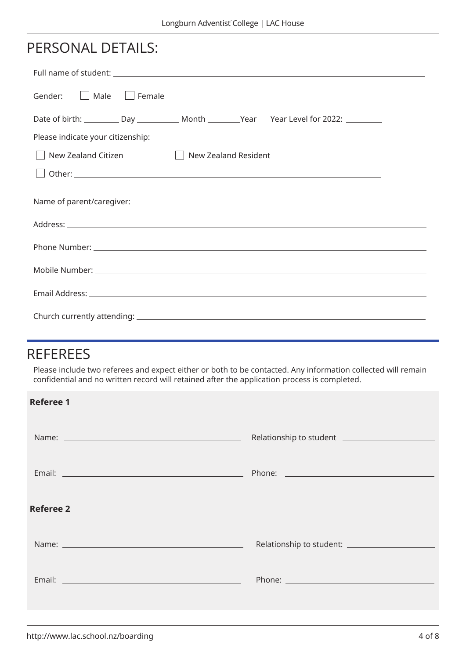## PERSONAL DETAILS:

| Gender:     Male     Female                                                           |  |  |  |  |  |
|---------------------------------------------------------------------------------------|--|--|--|--|--|
|                                                                                       |  |  |  |  |  |
| Please indicate your citizenship:                                                     |  |  |  |  |  |
| New Zealand Citizen<br><b>New Zealand Resident</b><br>the contract of the contract of |  |  |  |  |  |
|                                                                                       |  |  |  |  |  |
|                                                                                       |  |  |  |  |  |
|                                                                                       |  |  |  |  |  |
|                                                                                       |  |  |  |  |  |
|                                                                                       |  |  |  |  |  |
|                                                                                       |  |  |  |  |  |
|                                                                                       |  |  |  |  |  |

## REFEREES

Please include two referees and expect either or both to be contacted. Any information collected will remain confidential and no written record will retained after the application process is completed.

| <b>Referee 1</b> |                                                 |
|------------------|-------------------------------------------------|
|                  | Relationship to student _______________________ |
|                  |                                                 |
| <b>Referee 2</b> |                                                 |
|                  |                                                 |
|                  |                                                 |
|                  |                                                 |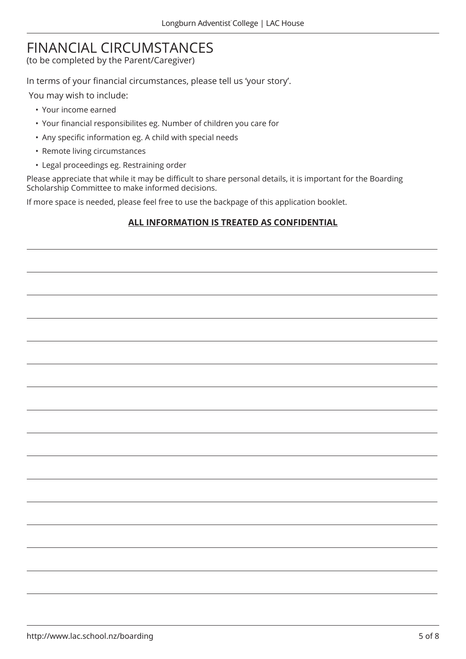## FINANCIAL CIRCUMSTANCES

(to be completed by the Parent/Caregiver)

In terms of your financial circumstances, please tell us 'your story'.

You may wish to include:

- Your income earned
- Your financial responsibilites eg. Number of children you care for
- Any specific information eg. A child with special needs
- Remote living circumstances
- Legal proceedings eg. Restraining order

Please appreciate that while it may be difficult to share personal details, it is important for the Boarding Scholarship Committee to make informed decisions.

If more space is needed, please feel free to use the backpage of this application booklet.

#### **ALL INFORMATION IS TREATED AS CONFIDENTIAL**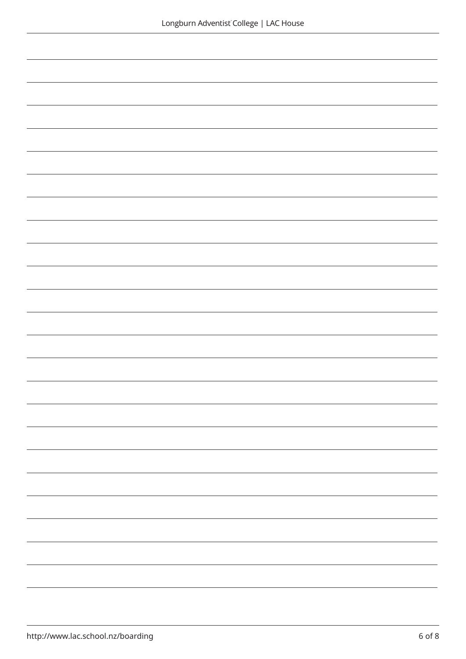| $\overline{\phantom{0}}$ |
|--------------------------|
|                          |
|                          |
| $\overline{\phantom{0}}$ |
| —                        |
| $\overline{\phantom{0}}$ |
|                          |
| $\overline{\phantom{0}}$ |
|                          |
|                          |
|                          |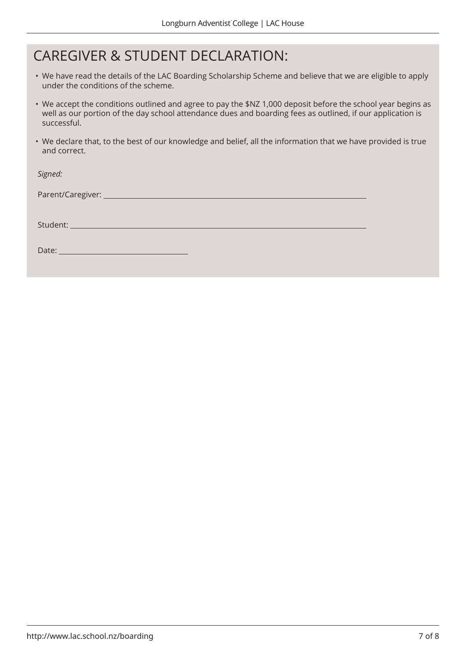## CAREGIVER & STUDENT DECLARATION:

- We have read the details of the LAC Boarding Scholarship Scheme and believe that we are eligible to apply under the conditions of the scheme.
- We accept the conditions outlined and agree to pay the \$NZ 1,000 deposit before the school year begins as well as our portion of the day school attendance dues and boarding fees as outlined, if our application is successful.
- We declare that, to the best of our knowledge and belief, all the information that we have provided is true and correct.

*Signed:* Parent/Caregiver: Student: Date: